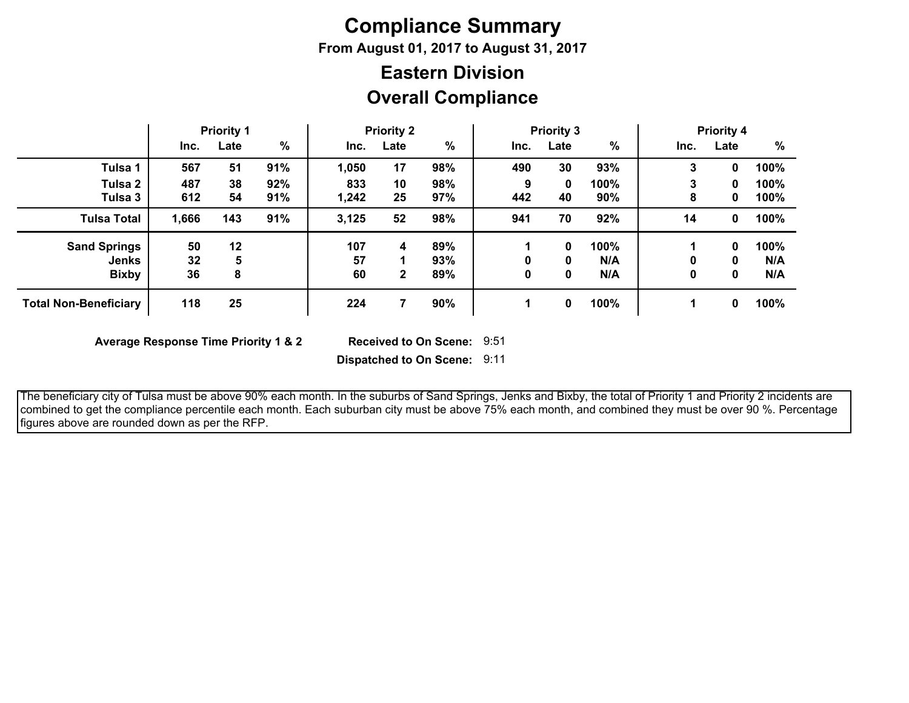# **Compliance Summary**

**From August 01, 2017 to August 31, 2017**

## **Overall Compliance Eastern Division**

|                                     |            | <b>Priority 1</b> |            |              | <b>Priority 2</b> |            |          | <b>Priority 3</b> |             |        | <b>Priority 4</b> |              |
|-------------------------------------|------------|-------------------|------------|--------------|-------------------|------------|----------|-------------------|-------------|--------|-------------------|--------------|
|                                     | Inc.       | Late              | %          | Inc.         | Late              | $\%$       | Inc.     | Late              | $\%$        | Inc.   | Late              | %            |
| Tulsa 1                             | 567        | 51                | 91%        | 1,050        | 17                | 98%        | 490      | 30                | 93%         | 3      | 0                 | 100%         |
| Tulsa 2<br>Tulsa 3                  | 487<br>612 | 38<br>54          | 92%<br>91% | 833<br>1,242 | 10<br>25          | 98%<br>97% | 9<br>442 | 0<br>40           | 100%<br>90% | 3<br>8 | 0<br>0            | 100%<br>100% |
| <b>Tulsa Total</b>                  | 1,666      | 143               | 91%        | 3,125        | 52                | 98%        | 941      | 70                | 92%         | 14     | 0                 | 100%         |
| <b>Sand Springs</b><br><b>Jenks</b> | 50<br>32   | 12<br>5           |            | 107<br>57    | 4                 | 89%<br>93% |          | 0<br>0            | 100%<br>N/A | 0      | 0<br>0            | 100%<br>N/A  |
| <b>Bixby</b>                        | 36         | 8                 |            | 60           | $\mathbf{2}$      | 89%        |          | 0                 | N/A         | 0      | 0                 | N/A          |
| <b>Total Non-Beneficiary</b>        | 118        | 25                |            | 224          |                   | 90%        |          | 0                 | 100%        |        | 0                 | 100%         |

**Average Response Time Priority 1 & 2** 

Received to On Scene: 9:51

**Dispatched to On Scene:** 9:11

 The beneficiary city of Tulsa must be above 90% each month. In the suburbs of Sand Springs, Jenks and Bixby, the total of Priority 1 and Priority 2 incidents are combined to get the compliance percentile each month. Each suburban city must be above 75% each month, and combined they must be over 90 %. Percentage figures above are rounded down as per the RFP.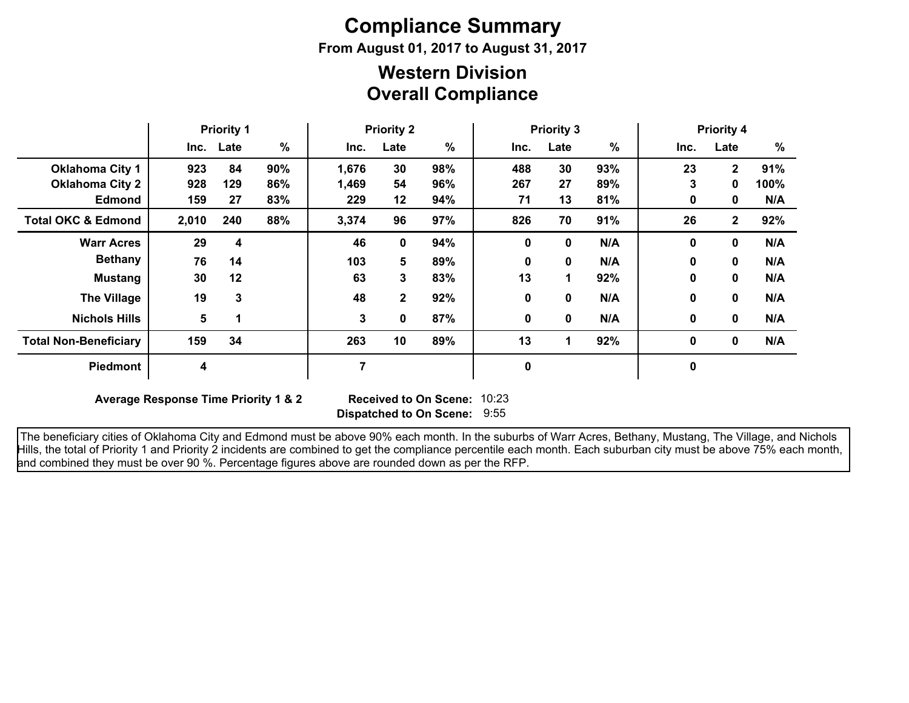# **Compliance Summary**

**From August 01, 2017 to August 31, 2017**

### **Overall Compliance Western Division**

|                               | <b>Priority 1</b> |           | <b>Priority 2</b> |       | <b>Priority 3</b> |      |      |          | <b>Priority 4</b> |             |              |      |
|-------------------------------|-------------------|-----------|-------------------|-------|-------------------|------|------|----------|-------------------|-------------|--------------|------|
|                               |                   | Inc. Late | %                 | Inc.  | Late              | $\%$ | Inc. | Late     | $\%$              | Inc.        | Late         | %    |
| <b>Oklahoma City 1</b>        | 923               | 84        | 90%               | 1,676 | 30                | 98%  | 488  | 30       | 93%               | 23          | $\mathbf{2}$ | 91%  |
| <b>Oklahoma City 2</b>        | 928               | 129       | 86%               | 1,469 | 54                | 96%  | 267  | 27       | 89%               | 3           | 0            | 100% |
| <b>Edmond</b>                 | 159               | 27        | 83%               | 229   | 12 <sub>2</sub>   | 94%  | 71   | 13       | 81%               | 0           | 0            | N/A  |
| <b>Total OKC &amp; Edmond</b> | 2,010             | 240       | 88%               | 3,374 | 96                | 97%  | 826  | 70       | 91%               | 26          | $\mathbf{2}$ | 92%  |
| <b>Warr Acres</b>             | 29                | 4         |                   | 46    | 0                 | 94%  | 0    | 0        | N/A               | $\mathbf 0$ | 0            | N/A  |
| <b>Bethany</b>                | 76                | 14        |                   | 103   | 5                 | 89%  | 0    | $\bf{0}$ | N/A               | $\bf{0}$    | 0            | N/A  |
| <b>Mustang</b>                | 30                | 12        |                   | 63    | 3                 | 83%  | 13   |          | 92%               | 0           | 0            | N/A  |
| <b>The Village</b>            | 19                | 3         |                   | 48    | $\mathbf 2$       | 92%  | 0    | 0        | N/A               | 0           | 0            | N/A  |
| <b>Nichols Hills</b>          | 5                 |           |                   | 3     | 0                 | 87%  | 0    | 0        | N/A               | 0           | $\mathbf 0$  | N/A  |
| <b>Total Non-Beneficiary</b>  | 159               | 34        |                   | 263   | 10                | 89%  | 13   | 1        | 92%               | 0           | $\mathbf 0$  | N/A  |
| <b>Piedmont</b>               | 4                 |           |                   |       |                   |      | 0    |          |                   | 0           |              |      |

**Average Response Time Priority 1 & 2** 

**Dispatched to On Scene:** 9:55 Received to On Scene: 10:23

 The beneficiary cities of Oklahoma City and Edmond must be above 90% each month. In the suburbs of Warr Acres, Bethany, Mustang, The Village, and Nichols Hills, the total of Priority 1 and Priority 2 incidents are combined to get the compliance percentile each month. Each suburban city must be above 75% each month, and combined they must be over 90 %. Percentage figures above are rounded down as per the RFP.